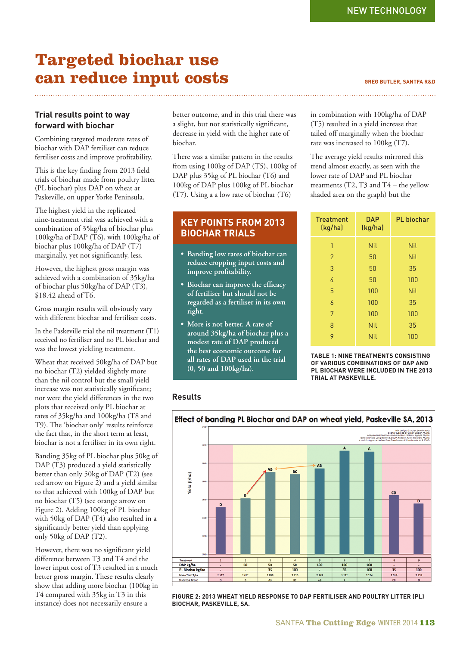# **Targeted biochar use can reduce input costs GREG BUTLER, SANTFA R&D**

## **Trial results point to way forward with biochar**

Combining targeted moderate rates of biochar with DAP fertiliser can reduce fertiliser costs and improve profitability.

This is the key finding from 2013 field trials of biochar made from poultry litter (PL biochar) plus DAP on wheat at Paskeville, on upper Yorke Peninsula.

The highest yield in the replicated nine-treatment trial was achieved with a combination of 35kg/ha of biochar plus 100kg/ha of DAP (T6), with 100kg/ha of biochar plus 100kg/ha of DAP (T7) marginally, yet not significantly, less.

However, the highest gross margin was achieved with a combination of 35kg/ha of biochar plus 50kg/ha of DAP (T3), \$18.42 ahead of T6.

Gross margin results will obviously vary with different biochar and fertiliser costs.

In the Paskeville trial the nil treatment (T1) received no fertiliser and no PL biochar and was the lowest yielding treatment.

Wheat that received 50kg/ha of DAP but no biochar (T2) yielded slightly more than the nil control but the small yield increase was not statistically significant; nor were the yield differences in the two plots that received only PL biochar at rates of 35kg/ha and 100kg/ha (T8 and T9). The 'biochar only' results reinforce the fact that, in the short term at least, biochar is not a fertiliser in its own right.

Banding 35kg of PL biochar plus 50kg of DAP (T3) produced a yield statistically better than only 50kg of DAP (T2) (see red arrow on Figure 2) and a yield similar to that achieved with 100kg of DAP but no biochar (T5) (see orange arrow on Figure 2). Adding 100kg of PL biochar with 50kg of DAP (T4) also resulted in a significantly better yield than applying only 50kg of DAP (T2).

However, there was no significant yield difference between T3 and T4 and the lower input cost of T3 resulted in a much better gross margin. These results clearly show that adding more biochar (100kg in T4 compared with 35kg in T3 in this instance) does not necessarily ensure a

better outcome, and in this trial there was a slight, but not statistically significant, decrease in yield with the higher rate of biochar.

There was a similar pattern in the results from using 100kg of DAP (T5), 100kg of DAP plus 35kg of PL biochar (T6) and 100kg of DAP plus 100kg of PL biochar (T7). Using a a low rate of biochar (T6)

# **KEY POINTS FROM 2013 BIOCHAR TRIALS**

- **Banding low rates of biochar can reduce cropping input costs and**  improve profitability.
- Biochar can improve the efficacy **of fertiliser but should not be regarded as a fertiliser in its own right.**
- **More is not better. A rate of around 35kg/ha of biochar plus a modest rate of DAP produced the best economic outcome for all rates of DAP used in the trial (0, 50 and 100kg/ha).**

in combination with 100kg/ha of DAP (T5) resulted in a yield increase that tailed off marginally when the biochar rate was increased to 100kg (T7).

The average yield results mirrored this trend almost exactly, as seen with the lower rate of DAP and PL biochar treatments  $(T2, T3$  and  $T4$  – the yellow shaded area on the graph) but the

| <b>Treatment</b><br>(kg/ha) | <b>DAP</b><br>(kg/ha) | <b>PL</b> biochar |  |  |
|-----------------------------|-----------------------|-------------------|--|--|
| 1                           | Nil                   | Nil               |  |  |
| $\overline{2}$              | 50                    | Nil               |  |  |
| 3                           | 50                    | 35                |  |  |
| 4                           | 50                    | 100               |  |  |
| 5                           | 100                   | Nil               |  |  |
| 6                           | 100                   | 35                |  |  |
| 7                           | 100                   | 100               |  |  |
| 8                           | Nil                   | 35                |  |  |
| 9                           | <b>Nil</b>            | 100               |  |  |

**TABLE 1: NINE TREATMENTS CONSISTING OF VARIOUS COMBINATIONS OF DAP AND PL BIOCHAR WERE INCLUDED IN THE 2013 TRIAL AT PASKEVILLE.**

## **Results**

# Effect of banding PL Biochar and DAP on wheat yield, Paskeville SA, 2013



**FIGURE 2: 2013 WHEAT YIELD RESPONSE TO DAP FERTILISER AND POULTRY LITTER (PL) BIOCHAR, PASKEVILLE, SA.**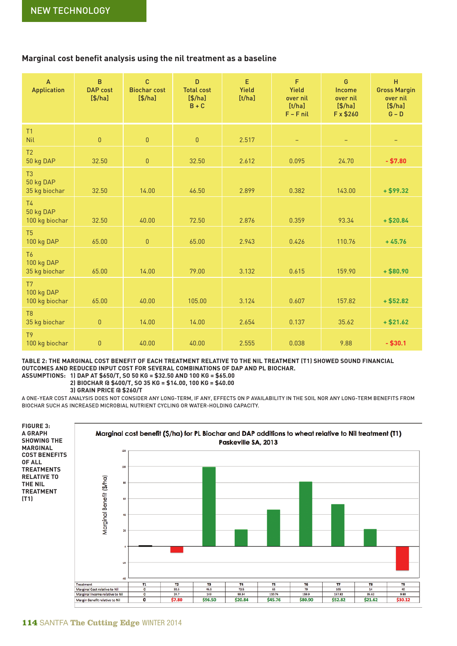## **Marginal cost benefit analysis using the nil treatment as a baseline**

| $\overline{A}$<br><b>Application</b>          | $\mathsf{B}$<br><b>DAP</b> cost<br>$[$/ha]$ | $\mathbf{C}$<br><b>Biochar cost</b><br>$[$/ha]$ | D<br><b>Total cost</b><br>$[$/ha]$<br>$B + C$ | E<br>Yield<br>[t/ha] | F<br>Yield<br>over nil<br>[t/ha]<br>$F - F$ nil | G<br>Income<br>over nil<br>$[$/ha]$<br>F x \$260 | H<br><b>Gross Margin</b><br>over nil<br>$[$/ha]$<br>$G - D$ |
|-----------------------------------------------|---------------------------------------------|-------------------------------------------------|-----------------------------------------------|----------------------|-------------------------------------------------|--------------------------------------------------|-------------------------------------------------------------|
| T1<br><b>Nil</b>                              | $\mathbf 0$                                 | $\mathbf 0$                                     | $\overline{0}$                                | 2.517                | $-$                                             | $\qquad \qquad -$                                | $\qquad \qquad -$                                           |
| T <sub>2</sub><br>50 kg DAP                   | 32.50                                       | $\mathbf 0$                                     | 32.50                                         | 2.612                | 0.095                                           | 24.70                                            | $- $7.80$                                                   |
| T <sub>3</sub><br>50 kg DAP<br>35 kg biochar  | 32.50                                       | 14.00                                           | 46.50                                         | 2.899                | 0.382                                           | 143.00                                           | $+ $99.32$                                                  |
| <b>T4</b><br>50 kg DAP<br>100 kg biochar      | 32.50                                       | 40.00                                           | 72.50                                         | 2.876                | 0.359                                           | 93.34                                            | $+ $20.84$                                                  |
| T <sub>5</sub><br>100 kg DAP                  | 65.00                                       | $\overline{0}$                                  | 65.00                                         | 2.943                | 0.426                                           | 110.76                                           | $+45.76$                                                    |
| T <sub>6</sub><br>100 kg DAP<br>35 kg biochar | 65.00                                       | 14.00                                           | 79.00                                         | 3.132                | 0.615                                           | 159.90                                           | $+ $80.90$                                                  |
| T7<br>100 kg DAP<br>100 kg biochar            | 65.00                                       | 40.00                                           | 105.00                                        | 3.124                | 0.607                                           | 157.82                                           | $+ $52.82$                                                  |
| T <sub>8</sub><br>35 kg biochar               | $\pmb{0}$                                   | 14.00                                           | 14.00                                         | 2.654                | 0.137                                           | 35.62                                            | $+ $21.62$                                                  |
| T <sub>9</sub><br>100 kg biochar              | $\pmb{0}$                                   | 40.00                                           | 40.00                                         | 2.555                | 0.038                                           | 9.88                                             | $- $30.1$                                                   |

**TABLE 2: THE MARGINAL COST BENEFIT OF EACH TREATMENT RELATIVE TO THE NIL TREATMENT (T1) SHOWED SOUND FINANCIAL OUTCOMES AND REDUCED INPUT COST FOR SEVERAL COMBINATIONS OF DAP AND PL BIOCHAR. ASSUMPTIONS: 1) DAP AT \$650/T, SO 50 KG = \$32.50 AND 100 KG = \$65.00**

 **2) BIOCHAR @ \$400/T, SO 35 KG = \$14.00, 100 KG = \$40.00**

 **3) GRAIN PRICE @ \$260/T** 

A ONE-YEAR COST ANALYSIS DOES NOT CONSIDER ANY LONG-TERM, IF ANY, EFFECTS ON P AVAILABILITY IN THE SOIL NOR ANY LONG-TERM BENEFITS FROM BIOCHAR SUCH AS INCREASED MICROBIAL NUTRIENT CYCLING OR WATER-HOLDING CAPACITY.